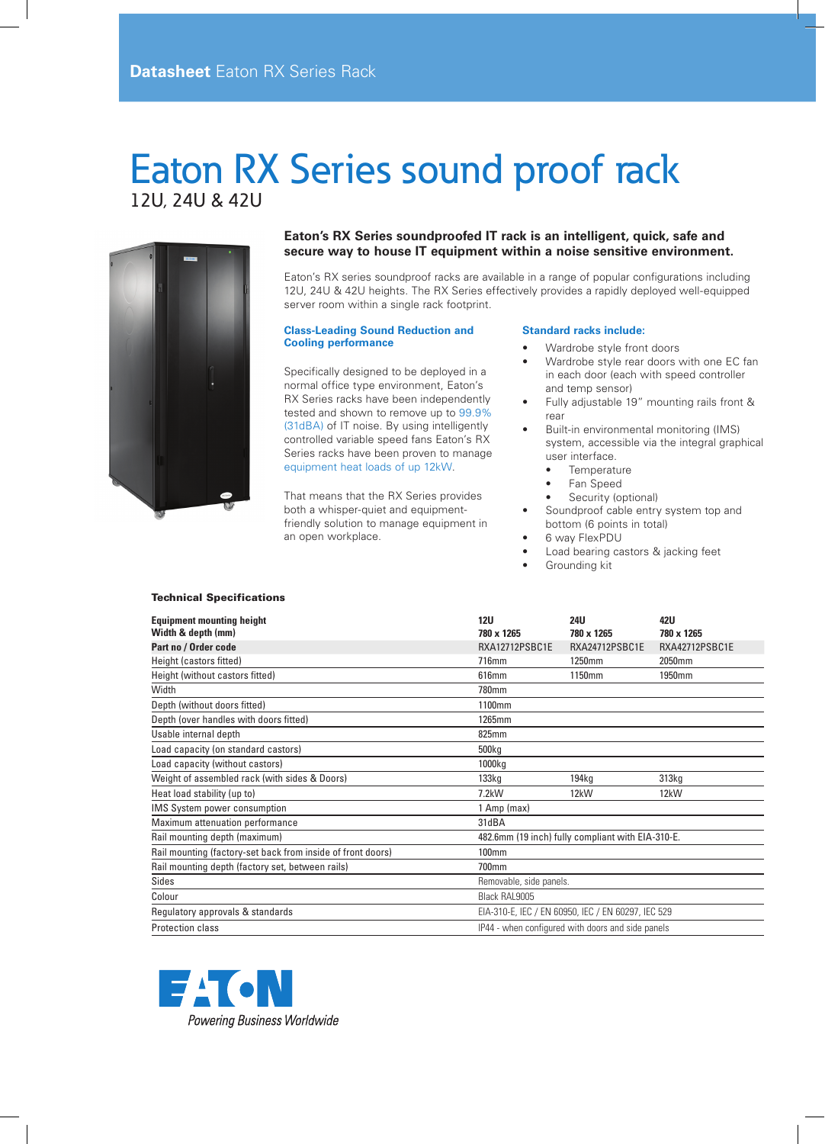# Eaton RX Series sound proof rack 12U, 24U & 42U



### **Eaton's RX Series soundproofed IT rack is an intelligent, quick, safe and secure way to house IT equipment within a noise sensitive environment.**

Eaton's RX series soundproof racks are available in a range of popular configurations including 12U, 24U & 42U heights. The RX Series effectively provides a rapidly deployed well-equipped server room within a single rack footprint.

#### **Class-Leading Sound Reduction and Cooling performance**

Specifically designed to be deployed in a normal office type environment, Eaton's RX Series racks have been independently tested and shown to remove up to 99.9% (31dBA) of IT noise. By using intelligently controlled variable speed fans Eaton's RX Series racks have been proven to manage equipment heat loads of up 12kW.

That means that the RX Series provides both a whisper-quiet and equipmentfriendly solution to manage equipment in an open workplace.

#### **Standard racks include:**

- Wardrobe style front doors
- Wardrobe style rear doors with one EC fan in each door (each with speed controller and temp sensor)
- Fully adjustable 19" mounting rails front & rear
- Built-in environmental monitoring (IMS) system, accessible via the integral graphical user interface.
	- • Temperature
	- Fan Speed
	- Security (optional)
- Soundproof cable entry system top and bottom (6 points in total)
- 6 way FlexPDU
- Load bearing castors & jacking feet
- Grounding kit

#### Technical Specifications

| <b>Equipment mounting height</b><br>Width & depth (mm)      | 12U<br>780 x 1265                                  | <b>24U</b><br>780 x 1265 | 42U<br>780 x 1265 |  |  |
|-------------------------------------------------------------|----------------------------------------------------|--------------------------|-------------------|--|--|
| Part no / Order code                                        | RXA12712PSBC1E                                     | RXA24712PSBC1E           | RXA42712PSBC1E    |  |  |
| Height (castors fitted)                                     | 716mm                                              | 1250mm                   | 2050mm            |  |  |
| Height (without castors fitted)                             | 616mm                                              | 1150mm                   | 1950mm            |  |  |
| Width                                                       | 780mm                                              |                          |                   |  |  |
| Depth (without doors fitted)                                | 1100mm                                             |                          |                   |  |  |
| Depth (over handles with doors fitted)                      | 1265mm                                             |                          |                   |  |  |
| Usable internal depth                                       | 825mm                                              |                          |                   |  |  |
| Load capacity (on standard castors)                         | 500 <sub>kg</sub>                                  |                          |                   |  |  |
| Load capacity (without castors)                             | 1000kg                                             |                          |                   |  |  |
| Weight of assembled rack (with sides & Doors)               | 133kq                                              | 194kg                    | 313 <sub>kq</sub> |  |  |
| Heat load stability (up to)                                 | $7.2$ kW                                           | 12kW                     | 12kW              |  |  |
| <b>IMS System power consumption</b>                         | 1 Amp (max)                                        |                          |                   |  |  |
| Maximum attenuation performance                             | 31dBA                                              |                          |                   |  |  |
| Rail mounting depth (maximum)                               | 482.6mm (19 inch) fully compliant with EIA-310-E.  |                          |                   |  |  |
| Rail mounting (factory-set back from inside of front doors) | 100mm                                              |                          |                   |  |  |
| Rail mounting depth (factory set, between rails)            | 700mm                                              |                          |                   |  |  |
| <b>Sides</b>                                                | Removable, side panels.                            |                          |                   |  |  |
| Colour                                                      | Black RAL9005                                      |                          |                   |  |  |
| Regulatory approvals & standards                            | EIA-310-E, IEC / EN 60950, IEC / EN 60297, IEC 529 |                          |                   |  |  |
| Protection class                                            | IP44 - when configured with doors and side panels  |                          |                   |  |  |